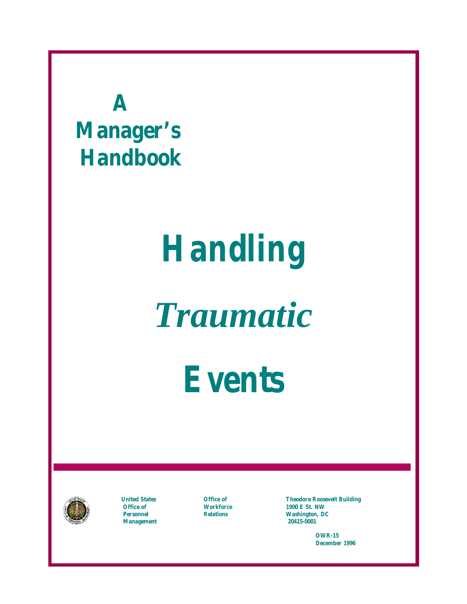

# *Handling*

# *Traumatic*

# *Events*



 **Management 20415-0001**

United States **Office of Theodore Roosevelt Building**<br> **Office of Workforce Theodore Roosevelt Building Office of Workforce 1900 E St. NW Washington, DC** 

> **OWR-15 December 1996**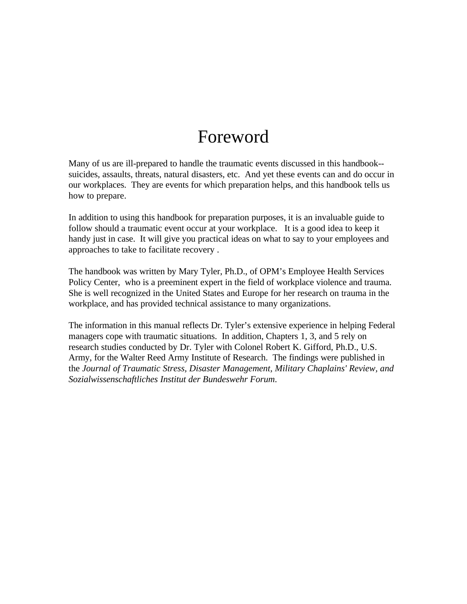# Foreword

Many of us are ill-prepared to handle the traumatic events discussed in this handbook- suicides, assaults, threats, natural disasters, etc. And yet these events can and do occur in our workplaces. They are events for which preparation helps, and this handbook tells us how to prepare.

In addition to using this handbook for preparation purposes, it is an invaluable guide to follow should a traumatic event occur at your workplace. It is a good idea to keep it handy just in case. It will give you practical ideas on what to say to your employees and approaches to take to facilitate recovery .

The handbook was written by Mary Tyler, Ph.D., of OPM's Employee Health Services Policy Center, who is a preeminent expert in the field of workplace violence and trauma. She is well recognized in the United States and Europe for her research on trauma in the workplace, and has provided technical assistance to many organizations.

The information in this manual reflects Dr. Tyler's extensive experience in helping Federal managers cope with traumatic situations. In addition, Chapters 1, 3, and 5 rely on research studies conducted by Dr. Tyler with Colonel Robert K. Gifford, Ph.D., U.S. Army, for the Walter Reed Army Institute of Research. The findings were published in the *Journal of Traumatic Stress, Disaster Management, Military Chaplains' Review, and Sozialwissenschaftliches Institut der Bundeswehr Forum*.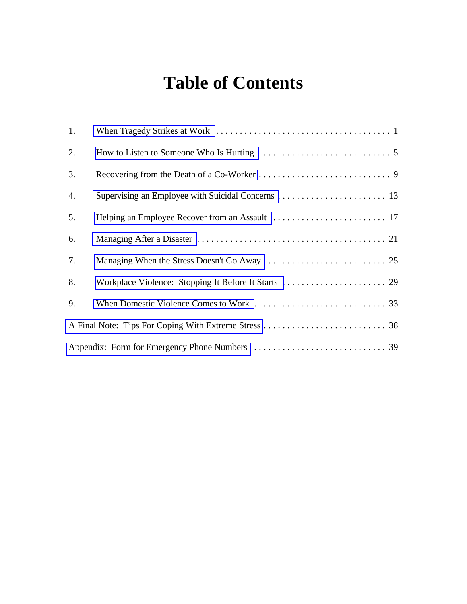# **Table of Contents**

| 1. |  |
|----|--|
| 2. |  |
| 3. |  |
| 4. |  |
| 5. |  |
| 6. |  |
| 7. |  |
| 8. |  |
| 9. |  |
|    |  |
|    |  |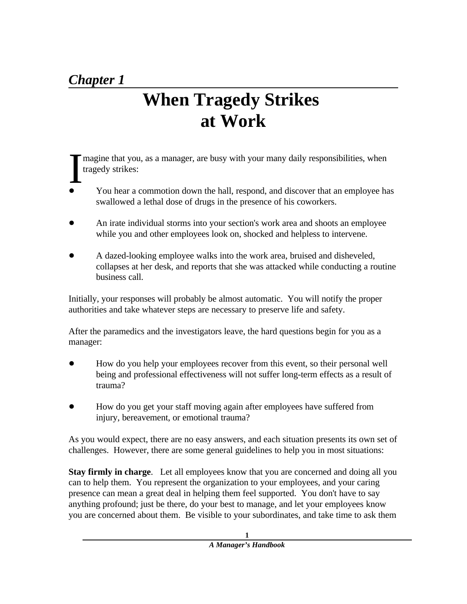# <span id="page-3-0"></span>*Chapter 1*

# **When Tragedy Strikes at Work**

magine that you, as a manager, are busy with your many daily responsibilities, when tragedy strikes:

- ! You hear a commotion down the hall, respond, and discover that an employee has swallowed a lethal dose of drugs in the presence of his coworkers.
- ! An irate individual storms into your section's work area and shoots an employee while you and other employees look on, shocked and helpless to intervene.
- ! A dazed-looking employee walks into the work area, bruised and disheveled, collapses at her desk, and reports that she was attacked while conducting a routine business call.

Initially, your responses will probably be almost automatic. You will notify the proper authorities and take whatever steps are necessary to preserve life and safety.

After the paramedics and the investigators leave, the hard questions begin for you as a manager:

- ! How do you help your employees recover from this event, so their personal well being and professional effectiveness will not suffer long-term effects as a result of trauma?
- ! How do you get your staff moving again after employees have suffered from injury, bereavement, or emotional trauma?

As you would expect, there are no easy answers, and each situation presents its own set of challenges. However, there are some general guidelines to help you in most situations:

**Stay firmly in charge.** Let all employees know that you are concerned and doing all you can to help them. You represent the organization to your employees, and your caring presence can mean a great deal in helping them feel supported. You don't have to say anything profound; just be there, do your best to manage, and let your employees know you are concerned about them. Be visible to your subordinates, and take time to ask them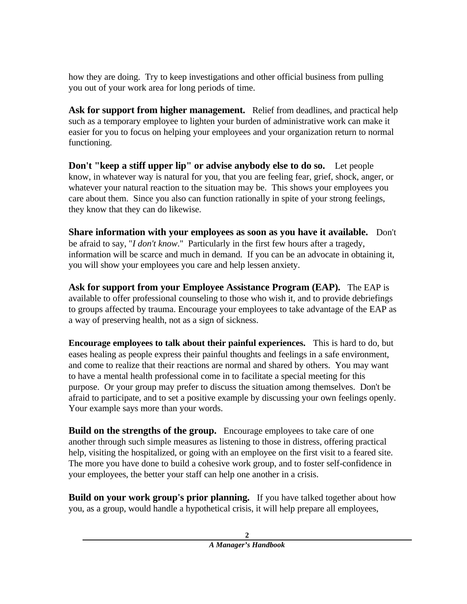how they are doing. Try to keep investigations and other official business from pulling you out of your work area for long periods of time.

Ask for support from higher management. Relief from deadlines, and practical help such as a temporary employee to lighten your burden of administrative work can make it easier for you to focus on helping your employees and your organization return to normal functioning.

**Don't "keep a stiff upper lip" or advise anybody else to do so.** Let people know, in whatever way is natural for you, that you are feeling fear, grief, shock, anger, or whatever your natural reaction to the situation may be. This shows your employees you care about them. Since you also can function rationally in spite of your strong feelings, they know that they can do likewise.

**Share information with your employees as soon as you have it available.** Don't be afraid to say, "*I don't know*." Particularly in the first few hours after a tragedy, information will be scarce and much in demand. If you can be an advocate in obtaining it, you will show your employees you care and help lessen anxiety.

**Ask for support from your Employee Assistance Program (EAP).** The EAP is available to offer professional counseling to those who wish it, and to provide debriefings to groups affected by trauma. Encourage your employees to take advantage of the EAP as a way of preserving health, not as a sign of sickness.

**Encourage employees to talk about their painful experiences.** This is hard to do, but eases healing as people express their painful thoughts and feelings in a safe environment, and come to realize that their reactions are normal and shared by others. You may want to have a mental health professional come in to facilitate a special meeting for this purpose. Or your group may prefer to discuss the situation among themselves. Don't be afraid to participate, and to set a positive example by discussing your own feelings openly. Your example says more than your words.

**Build on the strengths of the group.** Encourage employees to take care of one another through such simple measures as listening to those in distress, offering practical help, visiting the hospitalized, or going with an employee on the first visit to a feared site. The more you have done to build a cohesive work group, and to foster self-confidence in your employees, the better your staff can help one another in a crisis.

**Build on your work group's prior planning.** If you have talked together about how you, as a group, would handle a hypothetical crisis, it will help prepare all employees,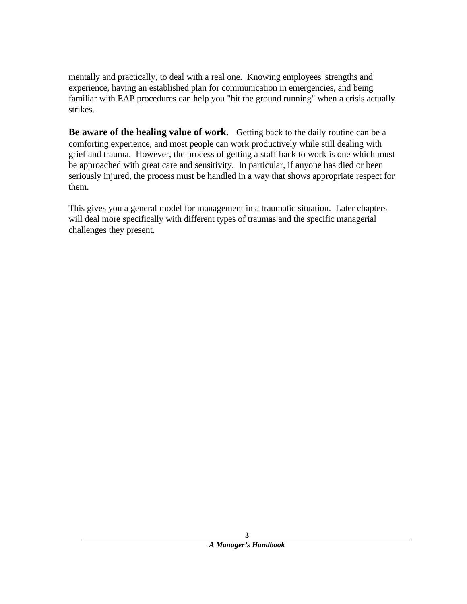mentally and practically, to deal with a real one. Knowing employees' strengths and experience, having an established plan for communication in emergencies, and being familiar with EAP procedures can help you "hit the ground running" when a crisis actually strikes.

**Be aware of the healing value of work.** Getting back to the daily routine can be a comforting experience, and most people can work productively while still dealing with grief and trauma. However, the process of getting a staff back to work is one which must be approached with great care and sensitivity. In particular, if anyone has died or been seriously injured, the process must be handled in a way that shows appropriate respect for them.

This gives you a general model for management in a traumatic situation. Later chapters will deal more specifically with different types of traumas and the specific managerial challenges they present.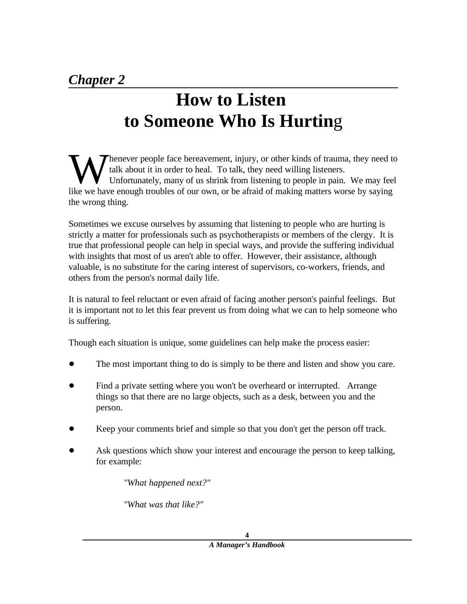# <span id="page-6-0"></span>**How to Listen to Someone Who Is Hurtin**g

Thenever people face bereavement, injury, or other kinds of trauma, they need to talk about it in order to heal. To talk, they need willing listeners. Unfortunately, many of us shrink from listening to people in pain. We may feel like we have enough troubles of our own, or be afraid of making matters worse by saying the wrong thing.

Sometimes we excuse ourselves by assuming that listening to people who are hurting is strictly a matter for professionals such as psychotherapists or members of the clergy. It is true that professional people can help in special ways, and provide the suffering individual with insights that most of us aren't able to offer. However, their assistance, although valuable, is no substitute for the caring interest of supervisors, co-workers, friends, and others from the person's normal daily life.

It is natural to feel reluctant or even afraid of facing another person's painful feelings. But it is important not to let this fear prevent us from doing what we can to help someone who is suffering.

Though each situation is unique, some guidelines can help make the process easier:

- The most important thing to do is simply to be there and listen and show you care.
- Find a private setting where you won't be overheard or interrupted. Arrange things so that there are no large objects, such as a desk, between you and the person.
- ! Keep your comments brief and simple so that you don't get the person off track.
- ! Ask questions which show your interest and encourage the person to keep talking, for example:

*"What happened next?"*

*"What was that like?"*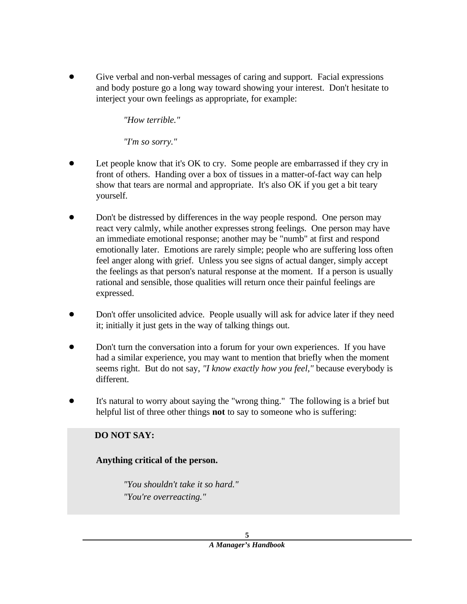! Give verbal and non-verbal messages of caring and support. Facial expressions and body posture go a long way toward showing your interest. Don't hesitate to interject your own feelings as appropriate, for example:

*"How terrible."*

*"I'm so sorry."*

- Let people know that it's OK to cry. Some people are embarrassed if they cry in front of others. Handing over a box of tissues in a matter-of-fact way can help show that tears are normal and appropriate. It's also OK if you get a bit teary yourself.
- Don't be distressed by differences in the way people respond. One person may react very calmly, while another expresses strong feelings. One person may have an immediate emotional response; another may be "numb" at first and respond emotionally later. Emotions are rarely simple; people who are suffering loss often feel anger along with grief. Unless you see signs of actual danger, simply accept the feelings as that person's natural response at the moment. If a person is usually rational and sensible, those qualities will return once their painful feelings are expressed.
- Don't offer unsolicited advice. People usually will ask for advice later if they need it; initially it just gets in the way of talking things out.
- ! Don't turn the conversation into a forum for your own experiences. If you have had a similar experience, you may want to mention that briefly when the moment seems right. But do not say, *"I know exactly how you feel,"* because everybody is different.
- It's natural to worry about saying the "wrong thing." The following is a brief but helpful list of three other things **not** to say to someone who is suffering:

### **DO NOT SAY:**

### **Anything critical of the person.**

*"You shouldn't take it so hard." "You're overreacting."*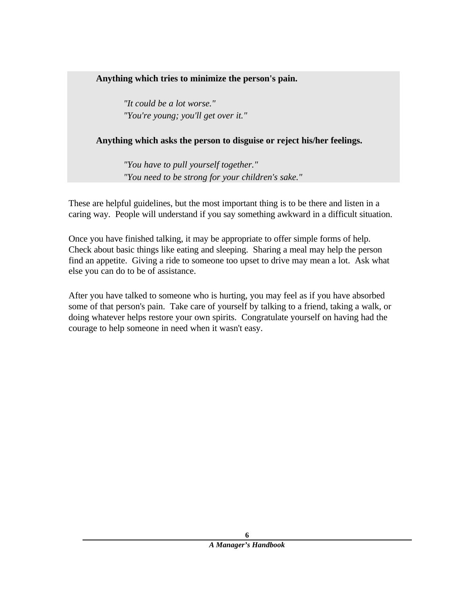#### **Anything which tries to minimize the person's pain.**

*"It could be a lot worse." "You're young; you'll get over it."*

#### **Anything which asks the person to disguise or reject his/her feelings.**

 *"You have to pull yourself together." "You need to be strong for your children's sake."*

These are helpful guidelines, but the most important thing is to be there and listen in a caring way. People will understand if you say something awkward in a difficult situation.

Once you have finished talking, it may be appropriate to offer simple forms of help. Check about basic things like eating and sleeping. Sharing a meal may help the person find an appetite. Giving a ride to someone too upset to drive may mean a lot. Ask what else you can do to be of assistance.

After you have talked to someone who is hurting, you may feel as if you have absorbed some of that person's pain. Take care of yourself by talking to a friend, taking a walk, or doing whatever helps restore your own spirits. Congratulate yourself on having had the courage to help someone in need when it wasn't easy.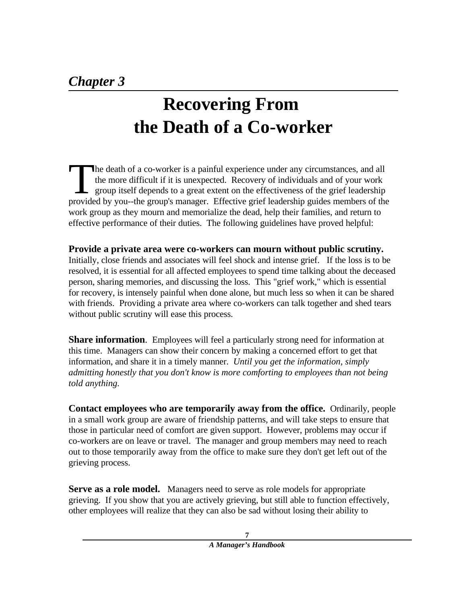# <span id="page-9-0"></span>**Recovering From the Death of a Co-worker**

The death of a co-worker is a painful experience under any circumstances, and all the more difficult if it is unexpected. Recovery of individuals and of your work group itself depends to a great extent on the effectiveness group itself depends to a great extent on the effectiveness of the grief leadership provided by you--the group's manager. Effective grief leadership guides members of the work group as they mourn and memorialize the dead, help their families, and return to effective performance of their duties. The following guidelines have proved helpful:

**Provide a private area were co-workers can mourn without public scrutiny.**  Initially, close friends and associates will feel shock and intense grief. If the loss is to be resolved, it is essential for all affected employees to spend time talking about the deceased person, sharing memories, and discussing the loss. This "grief work," which is essential for recovery, is intensely painful when done alone, but much less so when it can be shared with friends. Providing a private area where co-workers can talk together and shed tears without public scrutiny will ease this process.

**Share information**. Employees will feel a particularly strong need for information at this time. Managers can show their concern by making a concerned effort to get that information, and share it in a timely manner. *Until you get the information, simply admitting honestly that you don't know is more comforting to employees than not being told anything.*

**Contact employees who are temporarily away from the office.** Ordinarily, people in a small work group are aware of friendship patterns, and will take steps to ensure that those in particular need of comfort are given support. However, problems may occur if co-workers are on leave or travel. The manager and group members may need to reach out to those temporarily away from the office to make sure they don't get left out of the grieving process.

**Serve as a role model.** Managers need to serve as role models for appropriate grieving. If you show that you are actively grieving, but still able to function effectively, other employees will realize that they can also be sad without losing their ability to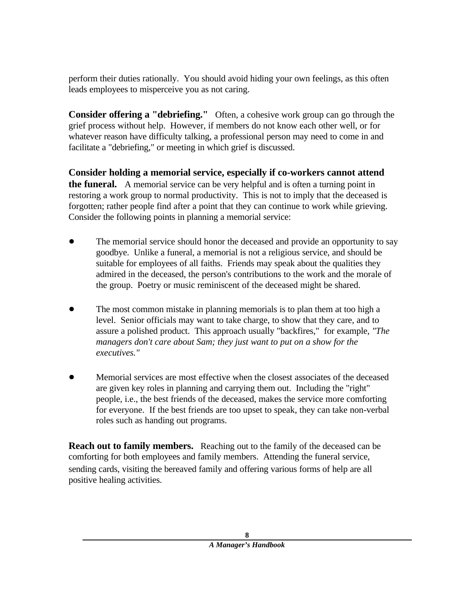perform their duties rationally. You should avoid hiding your own feelings, as this often leads employees to misperceive you as not caring.

**Consider offering a "debriefing."** Often, a cohesive work group can go through the grief process without help. However, if members do not know each other well, or for whatever reason have difficulty talking, a professional person may need to come in and facilitate a "debriefing," or meeting in which grief is discussed.

**Consider holding a memorial service, especially if co-workers cannot attend the funeral.** A memorial service can be very helpful and is often a turning point in restoring a work group to normal productivity. This is not to imply that the deceased is forgotten; rather people find after a point that they can continue to work while grieving. Consider the following points in planning a memorial service:

- The memorial service should honor the deceased and provide an opportunity to say goodbye. Unlike a funeral, a memorial is not a religious service, and should be suitable for employees of all faiths. Friends may speak about the qualities they admired in the deceased, the person's contributions to the work and the morale of the group. Poetry or music reminiscent of the deceased might be shared.
- The most common mistake in planning memorials is to plan them at too high a level. Senior officials may want to take charge, to show that they care, and to assure a polished product. This approach usually "backfires," for example, *"The managers don't care about Sam; they just want to put on a show for the executives."*
- ! Memorial services are most effective when the closest associates of the deceased are given key roles in planning and carrying them out. Including the "right" people, i.e., the best friends of the deceased, makes the service more comforting for everyone. If the best friends are too upset to speak, they can take non-verbal roles such as handing out programs.

**Reach out to family members.** Reaching out to the family of the deceased can be comforting for both employees and family members. Attending the funeral service, sending cards, visiting the bereaved family and offering various forms of help are all positive healing activities.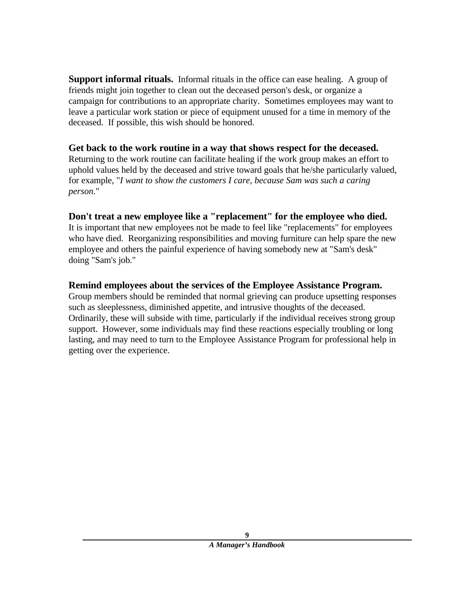**Support informal rituals.** Informal rituals in the office can ease healing. A group of friends might join together to clean out the deceased person's desk, or organize a campaign for contributions to an appropriate charity. Sometimes employees may want to leave a particular work station or piece of equipment unused for a time in memory of the deceased. If possible, this wish should be honored.

#### **Get back to the work routine in a way that shows respect for the deceased.**

Returning to the work routine can facilitate healing if the work group makes an effort to uphold values held by the deceased and strive toward goals that he/she particularly valued, for example, "*I want to show the customers I care, because Sam was such a caring person*."

#### **Don't treat a new employee like a "replacement" for the employee who died.**

It is important that new employees not be made to feel like "replacements" for employees who have died. Reorganizing responsibilities and moving furniture can help spare the new employee and others the painful experience of having somebody new at "Sam's desk" doing "Sam's job."

#### **Remind employees about the services of the Employee Assistance Program.**

Group members should be reminded that normal grieving can produce upsetting responses such as sleeplessness, diminished appetite, and intrusive thoughts of the deceased. Ordinarily, these will subside with time, particularly if the individual receives strong group support. However, some individuals may find these reactions especially troubling or long lasting, and may need to turn to the Employee Assistance Program for professional help in getting over the experience.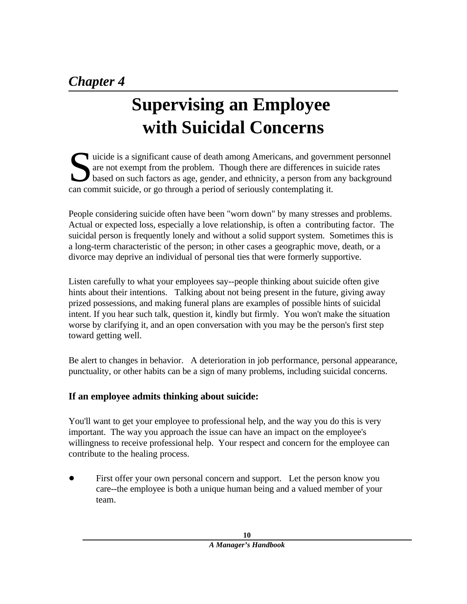# <span id="page-12-0"></span>**Supervising an Employee with Suicidal Concerns**

where is a significant cause of death among Americans, and government personnel are not exempt from the problem. Though there are differences in suicide rates based on such factors as age, gender, and ethnicity, a person from any background can commit suicide, or go through a period of seriously contemplating it.

People considering suicide often have been "worn down" by many stresses and problems. Actual or expected loss, especially a love relationship, is often a contributing factor. The suicidal person is frequently lonely and without a solid support system. Sometimes this is a long-term characteristic of the person; in other cases a geographic move, death, or a divorce may deprive an individual of personal ties that were formerly supportive.

Listen carefully to what your employees say--people thinking about suicide often give hints about their intentions. Talking about not being present in the future, giving away prized possessions, and making funeral plans are examples of possible hints of suicidal intent. If you hear such talk, question it, kindly but firmly. You won't make the situation worse by clarifying it, and an open conversation with you may be the person's first step toward getting well.

Be alert to changes in behavior. A deterioration in job performance, personal appearance, punctuality, or other habits can be a sign of many problems, including suicidal concerns.

### **If an employee admits thinking about suicide:**

You'll want to get your employee to professional help, and the way you do this is very important. The way you approach the issue can have an impact on the employee's willingness to receive professional help. Your respect and concern for the employee can contribute to the healing process.

! First offer your own personal concern and support. Let the person know you care--the employee is both a unique human being and a valued member of your team.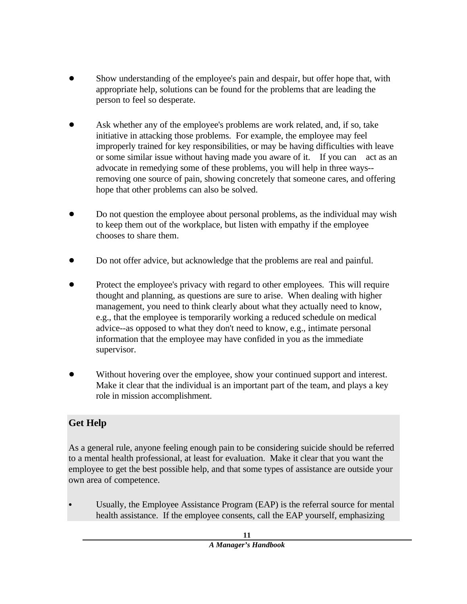- ! Show understanding of the employee's pain and despair, but offer hope that, with appropriate help, solutions can be found for the problems that are leading the person to feel so desperate.
- ! Ask whether any of the employee's problems are work related, and, if so, take initiative in attacking those problems. For example, the employee may feel improperly trained for key responsibilities, or may be having difficulties with leave or some similar issue without having made you aware of it. If you can act as an advocate in remedying some of these problems, you will help in three ways- removing one source of pain, showing concretely that someone cares, and offering hope that other problems can also be solved.
- ! Do not question the employee about personal problems, as the individual may wish to keep them out of the workplace, but listen with empathy if the employee chooses to share them.
- ! Do not offer advice, but acknowledge that the problems are real and painful.
- ! Protect the employee's privacy with regard to other employees. This will require thought and planning, as questions are sure to arise. When dealing with higher management, you need to think clearly about what they actually need to know, e.g., that the employee is temporarily working a reduced schedule on medical advice--as opposed to what they don't need to know, e.g., intimate personal information that the employee may have confided in you as the immediate supervisor.
- Without hovering over the employee, show your continued support and interest. Make it clear that the individual is an important part of the team, and plays a key role in mission accomplishment.

# **Get Help**

As a general rule, anyone feeling enough pain to be considering suicide should be referred to a mental health professional, at least for evaluation. Make it clear that you want the employee to get the best possible help, and that some types of assistance are outside your own area of competence.

Usually, the Employee Assistance Program (EAP) is the referral source for mental health assistance. If the employee consents, call the EAP yourself, emphasizing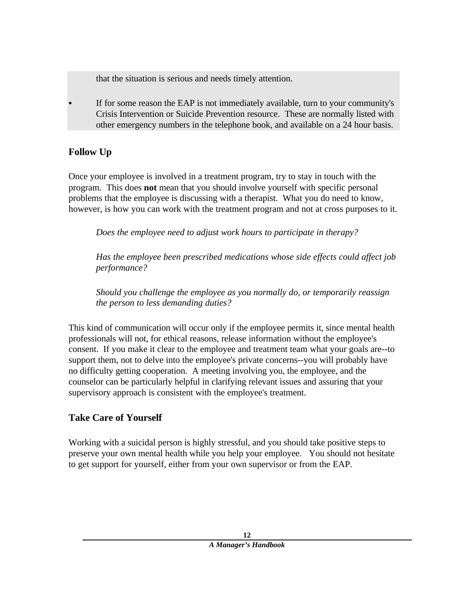that the situation is serious and needs timely attention.

If for some reason the EAP is not immediately available, turn to your community's Crisis Intervention or Suicide Prevention resource. These are normally listed with other emergency numbers in the telephone book, and available on a 24 hour basis.

## **Follow Up**

Once your employee is involved in a treatment program, try to stay in touch with the program. This does **not** mean that you should involve yourself with specific personal problems that the employee is discussing with a therapist. What you do need to know, however, is how you can work with the treatment program and not at cross purposes to it.

*Does the employee need to adjust work hours to participate in therapy?* 

*Has the employee been prescribed medications whose side effects could affect job performance?* 

*Should you challenge the employee as you normally do, or temporarily reassign the person to less demanding duties?*

This kind of communication will occur only if the employee permits it, since mental health professionals will not, for ethical reasons, release information without the employee's consent. If you make it clear to the employee and treatment team what your goals are--to support them, not to delve into the employee's private concerns--you will probably have no difficulty getting cooperation. A meeting involving you, the employee, and the counselor can be particularly helpful in clarifying relevant issues and assuring that your supervisory approach is consistent with the employee's treatment.

# **Take Care of Yourself**

Working with a suicidal person is highly stressful, and you should take positive steps to preserve your own mental health while you help your employee. You should not hesitate to get support for yourself, either from your own supervisor or from the EAP.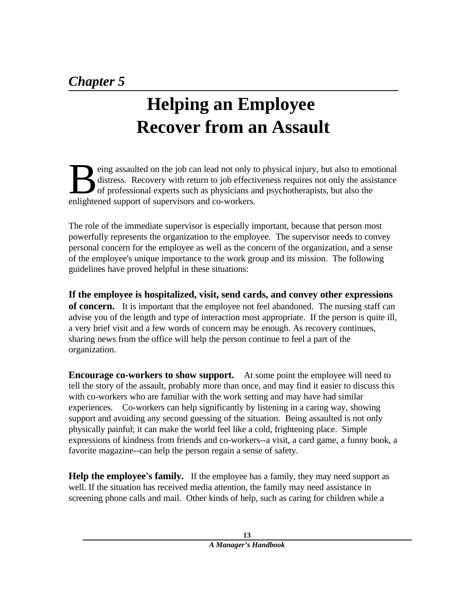# <span id="page-15-0"></span>**Helping an Employee Recover from an Assault**

eing assaulted on the job can lead not only to physical injury, but also to emotional distress. Recovery with return to job effectiveness requires not only the assistance of professional experts such as physicians and psychotherapists, but also the enlightened support of supervisors and co-workers.

The role of the immediate supervisor is especially important, because that person most powerfully represents the organization to the employee. The supervisor needs to convey personal concern for the employee as well as the concern of the organization, and a sense of the employee's unique importance to the work group and its mission. The following guidelines have proved helpful in these situations:

**If the employee is hospitalized, visit, send cards, and convey other expressions of concern.** It is important that the employee not feel abandoned. The nursing staff can advise you of the length and type of interaction most appropriate. If the person is quite ill, a very brief visit and a few words of concern may be enough. As recovery continues, sharing news from the office will help the person continue to feel a part of the organization.

**Encourage co-workers to show support.** At some point the employee will need to tell the story of the assault, probably more than once, and may find it easier to discuss this with co-workers who are familiar with the work setting and may have had similar experiences. Co-workers can help significantly by listening in a caring way, showing support and avoiding any second guessing of the situation. Being assaulted is not only physically painful; it can make the world feel like a cold, frightening place. Simple expressions of kindness from friends and co-workers--a visit, a card game, a funny book, a favorite magazine--can help the person regain a sense of safety.

**Help the employee's family.** If the employee has a family, they may need support as well. If the situation has received media attention, the family may need assistance in screening phone calls and mail. Other kinds of help, such as caring for children while a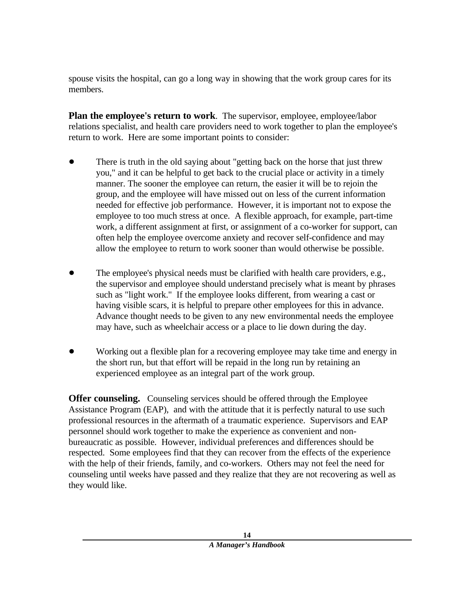spouse visits the hospital, can go a long way in showing that the work group cares for its members.

**Plan the employee's return to work**. The supervisor, employee, employee/labor relations specialist, and health care providers need to work together to plan the employee's return to work. Here are some important points to consider:

- ! There is truth in the old saying about "getting back on the horse that just threw you," and it can be helpful to get back to the crucial place or activity in a timely manner. The sooner the employee can return, the easier it will be to rejoin the group, and the employee will have missed out on less of the current information needed for effective job performance. However, it is important not to expose the employee to too much stress at once. A flexible approach, for example, part-time work, a different assignment at first, or assignment of a co-worker for support, can often help the employee overcome anxiety and recover self-confidence and may allow the employee to return to work sooner than would otherwise be possible.
- ! The employee's physical needs must be clarified with health care providers, e.g., the supervisor and employee should understand precisely what is meant by phrases such as "light work." If the employee looks different, from wearing a cast or having visible scars, it is helpful to prepare other employees for this in advance. Advance thought needs to be given to any new environmental needs the employee may have, such as wheelchair access or a place to lie down during the day.
- Working out a flexible plan for a recovering employee may take time and energy in the short run, but that effort will be repaid in the long run by retaining an experienced employee as an integral part of the work group.

**Offer counseling.** Counseling services should be offered through the Employee Assistance Program (EAP), and with the attitude that it is perfectly natural to use such professional resources in the aftermath of a traumatic experience. Supervisors and EAP personnel should work together to make the experience as convenient and nonbureaucratic as possible. However, individual preferences and differences should be respected. Some employees find that they can recover from the effects of the experience with the help of their friends, family, and co-workers. Others may not feel the need for counseling until weeks have passed and they realize that they are not recovering as well as they would like.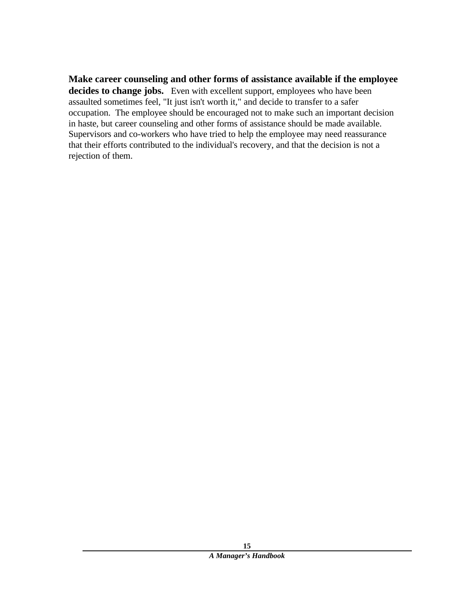**Make career counseling and other forms of assistance available if the employee decides to change jobs.** Even with excellent support, employees who have been assaulted sometimes feel, "It just isn't worth it*,*" and decide to transfer to a safer occupation. The employee should be encouraged not to make such an important decision in haste, but career counseling and other forms of assistance should be made available. Supervisors and co-workers who have tried to help the employee may need reassurance that their efforts contributed to the individual's recovery, and that the decision is not a rejection of them.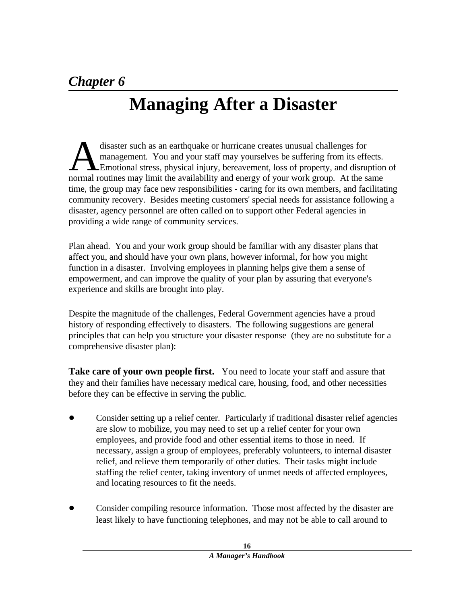# **Managing After a Disaster**

<span id="page-18-0"></span>disaster such as an earthquake or hurricane creates unusual challenges for<br>management. You and your staff may yourselves be suffering from its effects.<br>Emotional stress, physical injury, bereavement, loss of property, and Emotional stress, physical injury, bereavement, loss of property, and disruption of normal routines may limit the availability and energy of your work group. At the same time, the group may face new responsibilities - caring for its own members, and facilitating community recovery. Besides meeting customers' special needs for assistance following a disaster, agency personnel are often called on to support other Federal agencies in providing a wide range of community services.

Plan ahead. You and your work group should be familiar with any disaster plans that affect you, and should have your own plans, however informal, for how you might function in a disaster. Involving employees in planning helps give them a sense of empowerment, and can improve the quality of your plan by assuring that everyone's experience and skills are brought into play.

Despite the magnitude of the challenges, Federal Government agencies have a proud history of responding effectively to disasters. The following suggestions are general principles that can help you structure your disaster response (they are no substitute for a comprehensive disaster plan):

**Take care of your own people first.** You need to locate your staff and assure that they and their families have necessary medical care, housing, food, and other necessities before they can be effective in serving the public.

- ! Consider setting up a relief center. Particularly if traditional disaster relief agencies are slow to mobilize, you may need to set up a relief center for your own employees, and provide food and other essential items to those in need. If necessary, assign a group of employees, preferably volunteers, to internal disaster relief, and relieve them temporarily of other duties. Their tasks might include staffing the relief center, taking inventory of unmet needs of affected employees, and locating resources to fit the needs.
- ! Consider compiling resource information. Those most affected by the disaster are least likely to have functioning telephones, and may not be able to call around to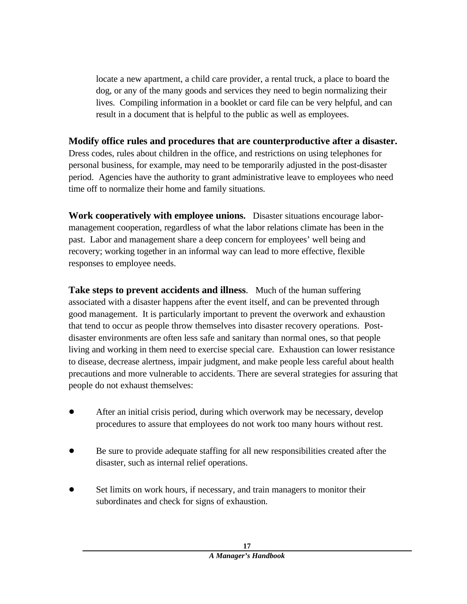locate a new apartment, a child care provider, a rental truck, a place to board the dog, or any of the many goods and services they need to begin normalizing their lives. Compiling information in a booklet or card file can be very helpful, and can result in a document that is helpful to the public as well as employees.

### **Modify office rules and procedures that are counterproductive after a disaster.**

Dress codes, rules about children in the office, and restrictions on using telephones for personal business, for example, may need to be temporarily adjusted in the post-disaster period. Agencies have the authority to grant administrative leave to employees who need time off to normalize their home and family situations.

**Work cooperatively with employee unions.** Disaster situations encourage labormanagement cooperation, regardless of what the labor relations climate has been in the past. Labor and management share a deep concern for employees' well being and recovery; working together in an informal way can lead to more effective, flexible responses to employee needs.

**Take steps to prevent accidents and illness**. Much of the human suffering associated with a disaster happens after the event itself, and can be prevented through good management. It is particularly important to prevent the overwork and exhaustion that tend to occur as people throw themselves into disaster recovery operations. Postdisaster environments are often less safe and sanitary than normal ones, so that people living and working in them need to exercise special care. Exhaustion can lower resistance to disease, decrease alertness, impair judgment, and make people less careful about health precautions and more vulnerable to accidents. There are several strategies for assuring that people do not exhaust themselves:

- ! After an initial crisis period, during which overwork may be necessary, develop procedures to assure that employees do not work too many hours without rest.
- ! Be sure to provide adequate staffing for all new responsibilities created after the disaster, such as internal relief operations.
- Set limits on work hours, if necessary, and train managers to monitor their subordinates and check for signs of exhaustion.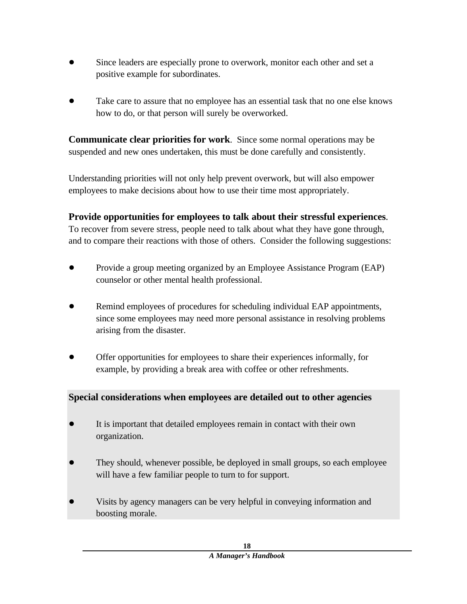- Since leaders are especially prone to overwork, monitor each other and set a positive example for subordinates.
- Take care to assure that no employee has an essential task that no one else knows how to do, or that person will surely be overworked.

**Communicate clear priorities for work**. Since some normal operations may be suspended and new ones undertaken, this must be done carefully and consistently.

Understanding priorities will not only help prevent overwork, but will also empower employees to make decisions about how to use their time most appropriately.

### **Provide opportunities for employees to talk about their stressful experiences**.

To recover from severe stress, people need to talk about what they have gone through, and to compare their reactions with those of others. Consider the following suggestions:

- ! Provide a group meeting organized by an Employee Assistance Program (EAP) counselor or other mental health professional.
- Remind employees of procedures for scheduling individual EAP appointments, since some employees may need more personal assistance in resolving problems arising from the disaster.
- ! Offer opportunities for employees to share their experiences informally, for example, by providing a break area with coffee or other refreshments.

### **Special considerations when employees are detailed out to other agencies**

- It is important that detailed employees remain in contact with their own organization.
- ! They should, whenever possible, be deployed in small groups, so each employee will have a few familiar people to turn to for support.
- ! Visits by agency managers can be very helpful in conveying information and boosting morale.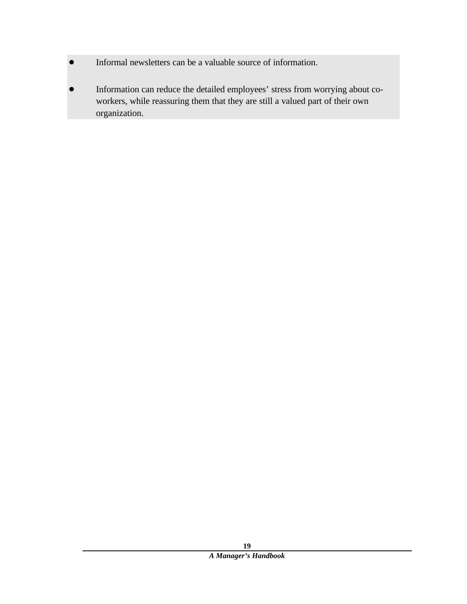- ! Informal newsletters can be a valuable source of information.
- ! Information can reduce the detailed employees' stress from worrying about coworkers, while reassuring them that they are still a valued part of their own organization.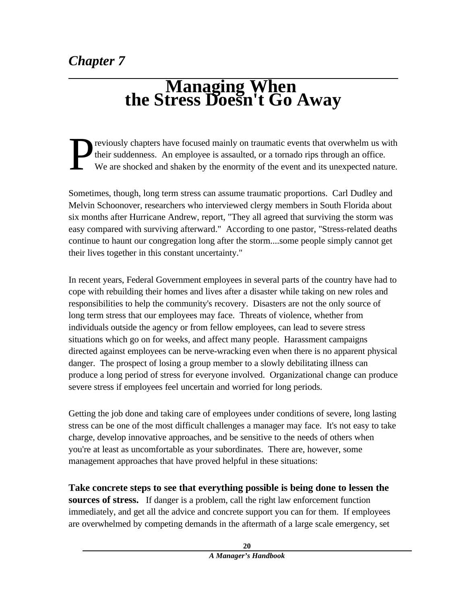# <span id="page-22-0"></span>**Managing When the Stress Doesn't Go Away**

reviously chapters have focused mainly on traumatic events that overwhelm us with their suddenness. An employee is assaulted, or a tornado rips through an office. We are shocked and shaken by the enormity of the event and We are shocked and shaken by the enormity of the event and its unexpected nature.

Sometimes, though, long term stress can assume traumatic proportions. Carl Dudley and Melvin Schoonover, researchers who interviewed clergy members in South Florida about six months after Hurricane Andrew, report, "They all agreed that surviving the storm was easy compared with surviving afterward." According to one pastor, "Stress-related deaths continue to haunt our congregation long after the storm....some people simply cannot get their lives together in this constant uncertainty."

In recent years, Federal Government employees in several parts of the country have had to cope with rebuilding their homes and lives after a disaster while taking on new roles and responsibilities to help the community's recovery. Disasters are not the only source of long term stress that our employees may face. Threats of violence, whether from individuals outside the agency or from fellow employees, can lead to severe stress situations which go on for weeks, and affect many people. Harassment campaigns directed against employees can be nerve-wracking even when there is no apparent physical danger. The prospect of losing a group member to a slowly debilitating illness can produce a long period of stress for everyone involved. Organizational change can produce severe stress if employees feel uncertain and worried for long periods.

Getting the job done and taking care of employees under conditions of severe, long lasting stress can be one of the most difficult challenges a manager may face. It's not easy to take charge, develop innovative approaches, and be sensitive to the needs of others when you're at least as uncomfortable as your subordinates. There are, however, some management approaches that have proved helpful in these situations:

**Take concrete steps to see that everything possible is being done to lessen the sources of stress.** If danger is a problem, call the right law enforcement function immediately, and get all the advice and concrete support you can for them. If employees are overwhelmed by competing demands in the aftermath of a large scale emergency, set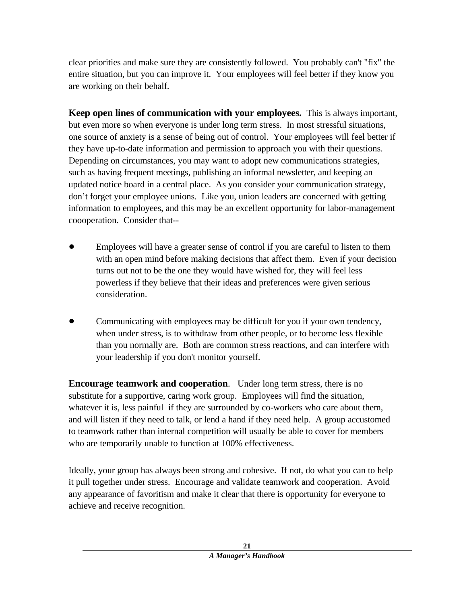clear priorities and make sure they are consistently followed. You probably can't "fix" the entire situation, but you can improve it. Your employees will feel better if they know you are working on their behalf.

**Keep open lines of communication with your employees.** This is always important, but even more so when everyone is under long term stress. In most stressful situations, one source of anxiety is a sense of being out of control. Your employees will feel better if they have up-to-date information and permission to approach you with their questions. Depending on circumstances, you may want to adopt new communications strategies, such as having frequent meetings, publishing an informal newsletter, and keeping an updated notice board in a central place. As you consider your communication strategy, don't forget your employee unions. Like you, union leaders are concerned with getting information to employees, and this may be an excellent opportunity for labor-management coooperation. Consider that--

- ! Employees will have a greater sense of control if you are careful to listen to them with an open mind before making decisions that affect them. Even if your decision turns out not to be the one they would have wished for, they will feel less powerless if they believe that their ideas and preferences were given serious consideration.
- ! Communicating with employees may be difficult for you if your own tendency, when under stress, is to withdraw from other people, or to become less flexible than you normally are. Both are common stress reactions, and can interfere with your leadership if you don't monitor yourself.

**Encourage teamwork and cooperation.** Under long term stress, there is no substitute for a supportive, caring work group. Employees will find the situation, whatever it is, less painful if they are surrounded by co-workers who care about them, and will listen if they need to talk, or lend a hand if they need help. A group accustomed to teamwork rather than internal competition will usually be able to cover for members who are temporarily unable to function at 100% effectiveness.

Ideally, your group has always been strong and cohesive. If not, do what you can to help it pull together under stress. Encourage and validate teamwork and cooperation. Avoid any appearance of favoritism and make it clear that there is opportunity for everyone to achieve and receive recognition.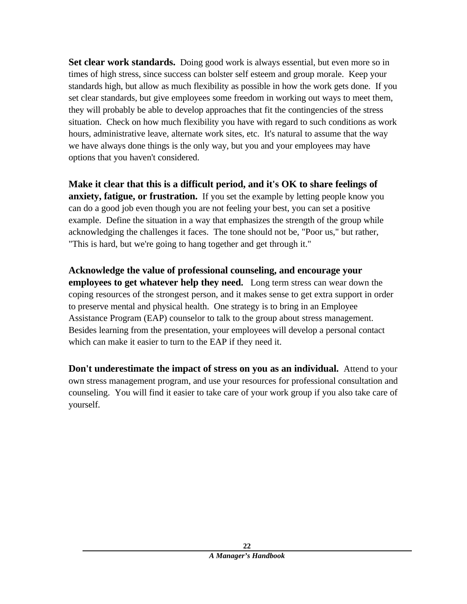**Set clear work standards.** Doing good work is always essential, but even more so in times of high stress, since success can bolster self esteem and group morale. Keep your standards high, but allow as much flexibility as possible in how the work gets done. If you set clear standards, but give employees some freedom in working out ways to meet them, they will probably be able to develop approaches that fit the contingencies of the stress situation. Check on how much flexibility you have with regard to such conditions as work hours, administrative leave, alternate work sites, etc. It's natural to assume that the way we have always done things is the only way, but you and your employees may have options that you haven't considered.

**Make it clear that this is a difficult period, and it's OK to share feelings of anxiety, fatigue, or frustration.** If you set the example by letting people know you can do a good job even though you are not feeling your best, you can set a positive example. Define the situation in a way that emphasizes the strength of the group while acknowledging the challenges it faces. The tone should not be, "Poor us," but rather, "This is hard, but we're going to hang together and get through it."

**Acknowledge the value of professional counseling, and encourage your employees to get whatever help they need.** Long term stress can wear down the coping resources of the strongest person, and it makes sense to get extra support in order to preserve mental and physical health. One strategy is to bring in an Employee Assistance Program (EAP) counselor to talk to the group about stress management. Besides learning from the presentation, your employees will develop a personal contact which can make it easier to turn to the EAP if they need it.

**Don't underestimate the impact of stress on you as an individual.** Attend to your own stress management program, and use your resources for professional consultation and counseling. You will find it easier to take care of your work group if you also take care of yourself.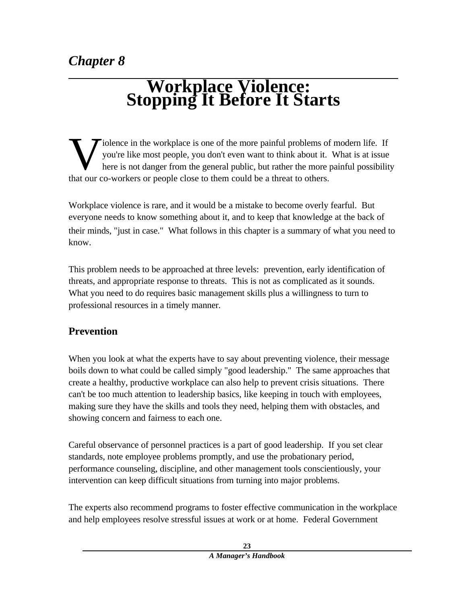# <span id="page-25-0"></span> **Workplace Violence: Stopping It Before It Starts**

**i** vou're like most people, you don't even want to think about it. What is at issue here is not danger from the general public, but rather the more painful possibility that our co-workers or people close to them could be here is not danger from the general public, but rather the more painful possibility that our co-workers or people close to them could be a threat to others.

Workplace violence is rare, and it would be a mistake to become overly fearful. But everyone needs to know something about it, and to keep that knowledge at the back of their minds, "just in case." What follows in this chapter is a summary of what you need to know.

This problem needs to be approached at three levels: prevention, early identification of threats, and appropriate response to threats. This is not as complicated as it sounds. What you need to do requires basic management skills plus a willingness to turn to professional resources in a timely manner.

## **Prevention**

When you look at what the experts have to say about preventing violence, their message boils down to what could be called simply "good leadership." The same approaches that create a healthy, productive workplace can also help to prevent crisis situations. There can't be too much attention to leadership basics, like keeping in touch with employees, making sure they have the skills and tools they need, helping them with obstacles, and showing concern and fairness to each one.

Careful observance of personnel practices is a part of good leadership. If you set clear standards, note employee problems promptly, and use the probationary period, performance counseling, discipline, and other management tools conscientiously, your intervention can keep difficult situations from turning into major problems.

The experts also recommend programs to foster effective communication in the workplace and help employees resolve stressful issues at work or at home. Federal Government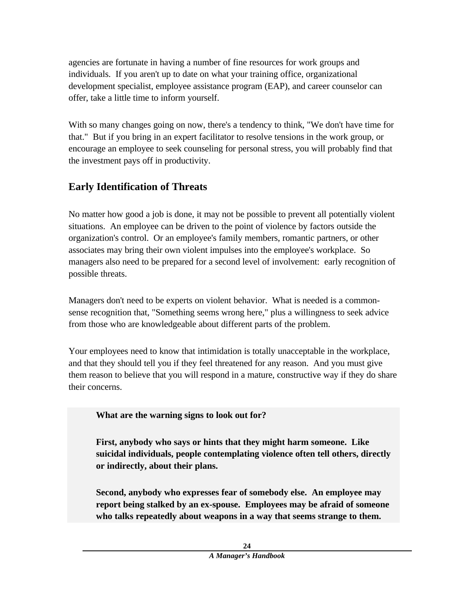agencies are fortunate in having a number of fine resources for work groups and individuals. If you aren't up to date on what your training office, organizational development specialist, employee assistance program (EAP), and career counselor can offer, take a little time to inform yourself.

With so many changes going on now, there's a tendency to think, "We don't have time for that." But if you bring in an expert facilitator to resolve tensions in the work group, or encourage an employee to seek counseling for personal stress, you will probably find that the investment pays off in productivity.

### **Early Identification of Threats**

No matter how good a job is done, it may not be possible to prevent all potentially violent situations. An employee can be driven to the point of violence by factors outside the organization's control. Or an employee's family members, romantic partners, or other associates may bring their own violent impulses into the employee's workplace. So managers also need to be prepared for a second level of involvement: early recognition of possible threats.

Managers don't need to be experts on violent behavior. What is needed is a commonsense recognition that, "Something seems wrong here," plus a willingness to seek advice from those who are knowledgeable about different parts of the problem.

Your employees need to know that intimidation is totally unacceptable in the workplace, and that they should tell you if they feel threatened for any reason. And you must give them reason to believe that you will respond in a mature, constructive way if they do share their concerns.

**What are the warning signs to look out for?** 

**First, anybody who says or hints that they might harm someone. Like suicidal individuals, people contemplating violence often tell others, directly or indirectly, about their plans.** 

**Second, anybody who expresses fear of somebody else. An employee may report being stalked by an ex-spouse. Employees may be afraid of someone who talks repeatedly about weapons in a way that seems strange to them.**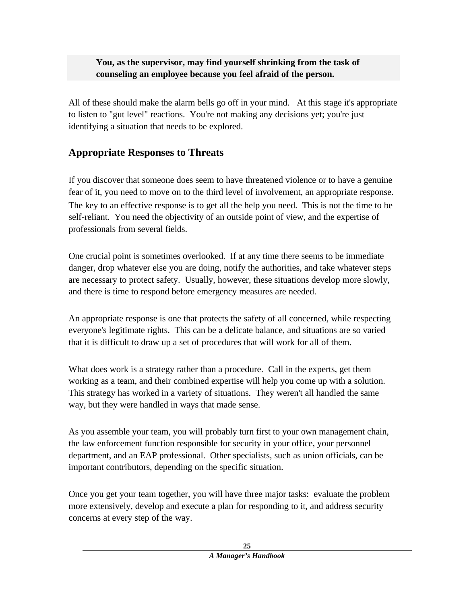#### **You, as the supervisor, may find yourself shrinking from the task of counseling an employee because you feel afraid of the person.**

All of these should make the alarm bells go off in your mind. At this stage it's appropriate to listen to "gut level" reactions. You're not making any decisions yet; you're just identifying a situation that needs to be explored.

## **Appropriate Responses to Threats**

If you discover that someone does seem to have threatened violence or to have a genuine fear of it, you need to move on to the third level of involvement, an appropriate response. The key to an effective response is to get all the help you need. This is not the time to be self-reliant. You need the objectivity of an outside point of view, and the expertise of professionals from several fields.

One crucial point is sometimes overlooked. If at any time there seems to be immediate danger, drop whatever else you are doing, notify the authorities, and take whatever steps are necessary to protect safety. Usually, however, these situations develop more slowly, and there is time to respond before emergency measures are needed.

An appropriate response is one that protects the safety of all concerned, while respecting everyone's legitimate rights. This can be a delicate balance, and situations are so varied that it is difficult to draw up a set of procedures that will work for all of them.

What does work is a strategy rather than a procedure. Call in the experts, get them working as a team, and their combined expertise will help you come up with a solution. This strategy has worked in a variety of situations. They weren't all handled the same way, but they were handled in ways that made sense.

As you assemble your team, you will probably turn first to your own management chain, the law enforcement function responsible for security in your office, your personnel department, and an EAP professional. Other specialists, such as union officials, can be important contributors, depending on the specific situation.

Once you get your team together, you will have three major tasks: evaluate the problem more extensively, develop and execute a plan for responding to it, and address security concerns at every step of the way.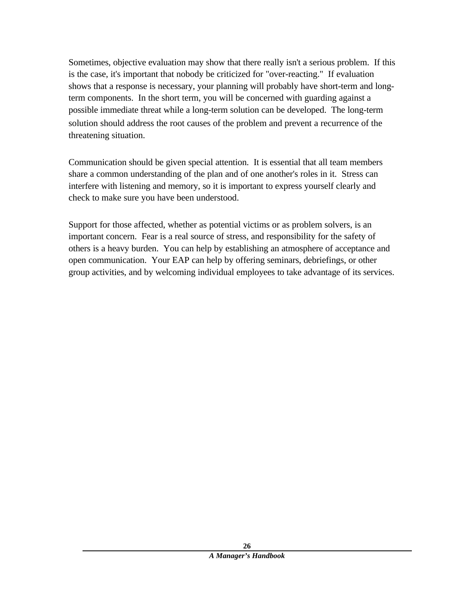Sometimes, objective evaluation may show that there really isn't a serious problem. If this is the case, it's important that nobody be criticized for "over-reacting." If evaluation shows that a response is necessary, your planning will probably have short-term and longterm components. In the short term, you will be concerned with guarding against a possible immediate threat while a long-term solution can be developed. The long-term solution should address the root causes of the problem and prevent a recurrence of the threatening situation.

Communication should be given special attention. It is essential that all team members share a common understanding of the plan and of one another's roles in it. Stress can interfere with listening and memory, so it is important to express yourself clearly and check to make sure you have been understood.

Support for those affected, whether as potential victims or as problem solvers, is an important concern. Fear is a real source of stress, and responsibility for the safety of others is a heavy burden. You can help by establishing an atmosphere of acceptance and open communication. Your EAP can help by offering seminars, debriefings, or other group activities, and by welcoming individual employees to take advantage of its services.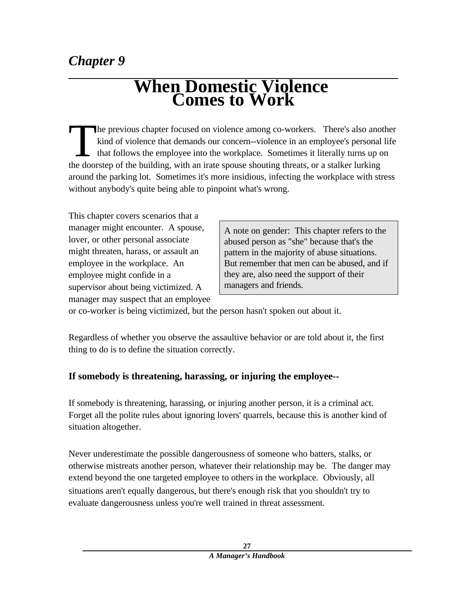# <span id="page-29-0"></span>*Chapter 9*

# **When Domestic Violence Comes to Work**

The previous chapter focused on violence among co-workers. There's also another kind of violence that demands our concern--violence in an employee's personal life that follows the employee into the workplace. Sometimes it literally turns up on the doorstep of the building, with an irate spouse shouting threats, or a stalker lurking around the parking lot. Sometimes it's more insidious, infecting the workplace with stress without anybody's quite being able to pinpoint what's wrong.

This chapter covers scenarios that a manager might encounter. A spouse, lover, or other personal associate might threaten, harass, or assault an employee in the workplace. An employee might confide in a supervisor about being victimized. A manager may suspect that an employee

A note on gender: This chapter refers to the abused person as "she" because that's the pattern in the majority of abuse situations. But remember that men can be abused, and if they are, also need the support of their managers and friends.

or co-worker is being victimized, but the person hasn't spoken out about it.

Regardless of whether you observe the assaultive behavior or are told about it, the first thing to do is to define the situation correctly.

### **If somebody is threatening, harassing, or injuring the employee--**

If somebody is threatening, harassing, or injuring another person, it is a criminal act. Forget all the polite rules about ignoring lovers' quarrels, because this is another kind of situation altogether.

Never underestimate the possible dangerousness of someone who batters, stalks, or otherwise mistreats another person, whatever their relationship may be. The danger may extend beyond the one targeted employee to others in the workplace. Obviously, all situations aren't equally dangerous, but there's enough risk that you shouldn't try to evaluate dangerousness unless you're well trained in threat assessment.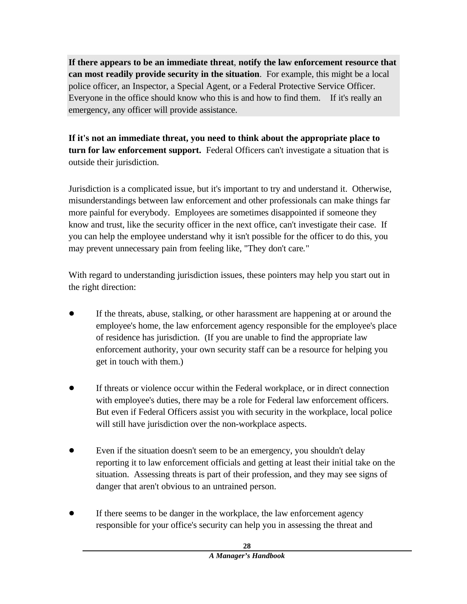**If there appears to be an immediate threat**, **notify the law enforcement resource that can most readily provide security in the situation**. For example, this might be a local police officer, an Inspector, a Special Agent, or a Federal Protective Service Officer. Everyone in the office should know who this is and how to find them. If it's really an emergency, any officer will provide assistance.

**If it's not an immediate threat, you need to think about the appropriate place to turn for law enforcement support.** Federal Officers can't investigate a situation that is outside their jurisdiction.

Jurisdiction is a complicated issue, but it's important to try and understand it. Otherwise, misunderstandings between law enforcement and other professionals can make things far more painful for everybody. Employees are sometimes disappointed if someone they know and trust, like the security officer in the next office, can't investigate their case. If you can help the employee understand why it isn't possible for the officer to do this, you may prevent unnecessary pain from feeling like, "They don't care*.*"

With regard to understanding jurisdiction issues, these pointers may help you start out in the right direction:

- ! If the threats, abuse, stalking, or other harassment are happening at or around the employee's home, the law enforcement agency responsible for the employee's place of residence has jurisdiction. (If you are unable to find the appropriate law enforcement authority, your own security staff can be a resource for helping you get in touch with them.)
- ! If threats or violence occur within the Federal workplace, or in direct connection with employee's duties, there may be a role for Federal law enforcement officers. But even if Federal Officers assist you with security in the workplace, local police will still have jurisdiction over the non-workplace aspects.
- Even if the situation doesn't seem to be an emergency, you shouldn't delay reporting it to law enforcement officials and getting at least their initial take on the situation. Assessing threats is part of their profession, and they may see signs of danger that aren't obvious to an untrained person.
- If there seems to be danger in the workplace, the law enforcement agency responsible for your office's security can help you in assessing the threat and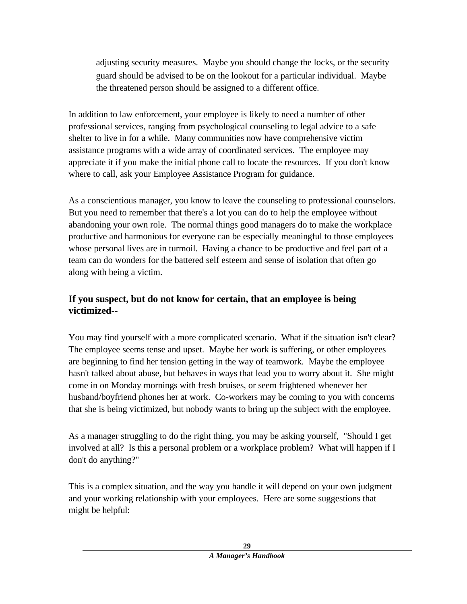adjusting security measures. Maybe you should change the locks, or the security guard should be advised to be on the lookout for a particular individual. Maybe the threatened person should be assigned to a different office.

In addition to law enforcement, your employee is likely to need a number of other professional services, ranging from psychological counseling to legal advice to a safe shelter to live in for a while. Many communities now have comprehensive victim assistance programs with a wide array of coordinated services. The employee may appreciate it if you make the initial phone call to locate the resources. If you don't know where to call, ask your Employee Assistance Program for guidance.

As a conscientious manager, you know to leave the counseling to professional counselors. But you need to remember that there's a lot you can do to help the employee without abandoning your own role. The normal things good managers do to make the workplace productive and harmonious for everyone can be especially meaningful to those employees whose personal lives are in turmoil. Having a chance to be productive and feel part of a team can do wonders for the battered self esteem and sense of isolation that often go along with being a victim.

### **If you suspect, but do not know for certain, that an employee is being victimized--**

You may find yourself with a more complicated scenario. What if the situation isn't clear? The employee seems tense and upset. Maybe her work is suffering, or other employees are beginning to find her tension getting in the way of teamwork. Maybe the employee hasn't talked about abuse, but behaves in ways that lead you to worry about it. She might come in on Monday mornings with fresh bruises, or seem frightened whenever her husband/boyfriend phones her at work. Co-workers may be coming to you with concerns that she is being victimized, but nobody wants to bring up the subject with the employee.

As a manager struggling to do the right thing, you may be asking yourself, "Should I get involved at all? Is this a personal problem or a workplace problem? What will happen if I don't do anything?"

This is a complex situation, and the way you handle it will depend on your own judgment and your working relationship with your employees. Here are some suggestions that might be helpful: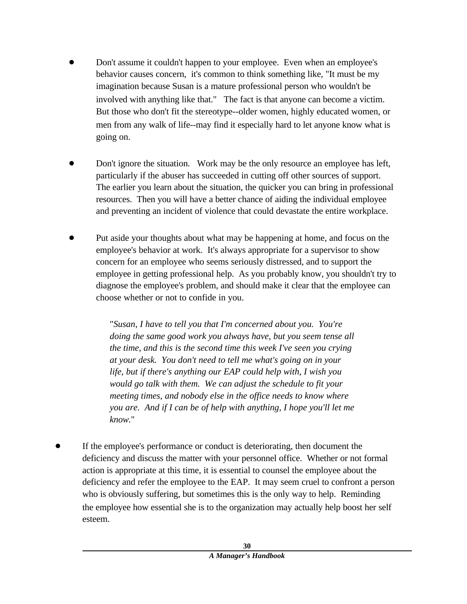- ! Don't assume it couldn't happen to your employee. Even when an employee's behavior causes concern, it's common to think something like, "It must be my imagination because Susan is a mature professional person who wouldn't be involved with anything like that." The fact is that anyone can become a victim. But those who don't fit the stereotype--older women, highly educated women, or men from any walk of life--may find it especially hard to let anyone know what is going on.
- ! Don't ignore the situation. Work may be the only resource an employee has left, particularly if the abuser has succeeded in cutting off other sources of support. The earlier you learn about the situation, the quicker you can bring in professional resources. Then you will have a better chance of aiding the individual employee and preventing an incident of violence that could devastate the entire workplace.
- ! Put aside your thoughts about what may be happening at home, and focus on the employee's behavior at work. It's always appropriate for a supervisor to show concern for an employee who seems seriously distressed, and to support the employee in getting professional help. As you probably know, you shouldn't try to diagnose the employee's problem, and should make it clear that the employee can choose whether or not to confide in you.

"*Susan, I have to tell you that I'm concerned about you. You're doing the same good work you always have, but you seem tense all the time, and this is the second time this week I've seen you crying at your desk. You don't need to tell me what's going on in your life, but if there's anything our EAP could help with, I wish you would go talk with them. We can adjust the schedule to fit your meeting times, and nobody else in the office needs to know where you are. And if I can be of help with anything, I hope you'll let me know.*"

If the employee's performance or conduct is deteriorating, then document the deficiency and discuss the matter with your personnel office. Whether or not formal action is appropriate at this time, it is essential to counsel the employee about the deficiency and refer the employee to the EAP. It may seem cruel to confront a person who is obviously suffering, but sometimes this is the only way to help. Reminding the employee how essential she is to the organization may actually help boost her self esteem.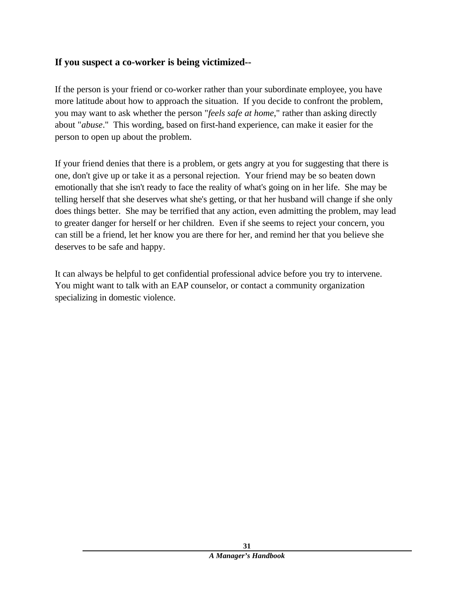#### **If you suspect a co-worker is being victimized--**

If the person is your friend or co-worker rather than your subordinate employee, you have more latitude about how to approach the situation. If you decide to confront the problem, you may want to ask whether the person "*feels safe at home*," rather than asking directly about "*abuse*." This wording, based on first-hand experience, can make it easier for the person to open up about the problem.

If your friend denies that there is a problem, or gets angry at you for suggesting that there is one, don't give up or take it as a personal rejection. Your friend may be so beaten down emotionally that she isn't ready to face the reality of what's going on in her life. She may be telling herself that she deserves what she's getting, or that her husband will change if she only does things better. She may be terrified that any action, even admitting the problem, may lead to greater danger for herself or her children. Even if she seems to reject your concern, you can still be a friend, let her know you are there for her, and remind her that you believe she deserves to be safe and happy.

It can always be helpful to get confidential professional advice before you try to intervene. You might want to talk with an EAP counselor, or contact a community organization specializing in domestic violence.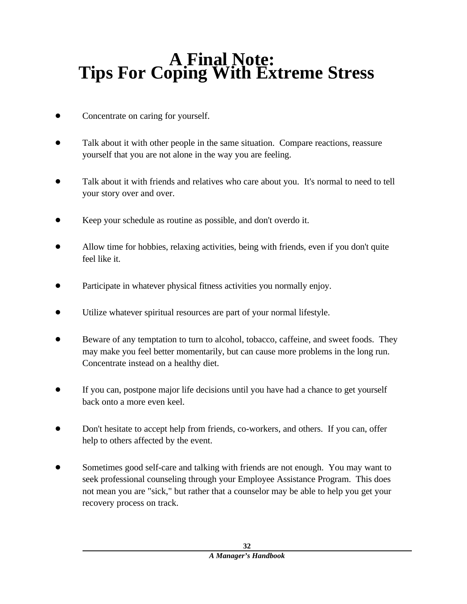# <span id="page-34-0"></span>**A Final Note: Tips For Coping With Extreme Stress**

- Concentrate on caring for yourself.
- ! Talk about it with other people in the same situation. Compare reactions, reassure yourself that you are not alone in the way you are feeling.
- Talk about it with friends and relatives who care about you. It's normal to need to tell your story over and over.
- ! Keep your schedule as routine as possible, and don't overdo it.
- ! Allow time for hobbies, relaxing activities, being with friends, even if you don't quite feel like it.
- Participate in whatever physical fitness activities you normally enjoy.
- ! Utilize whatever spiritual resources are part of your normal lifestyle.
- Beware of any temptation to turn to alcohol, tobacco, caffeine, and sweet foods. They may make you feel better momentarily, but can cause more problems in the long run. Concentrate instead on a healthy diet.
- If you can, postpone major life decisions until you have had a chance to get yourself back onto a more even keel.
- ! Don't hesitate to accept help from friends, co-workers, and others. If you can, offer help to others affected by the event.
- Sometimes good self-care and talking with friends are not enough. You may want to seek professional counseling through your Employee Assistance Program. This does not mean you are "sick," but rather that a counselor may be able to help you get your recovery process on track.